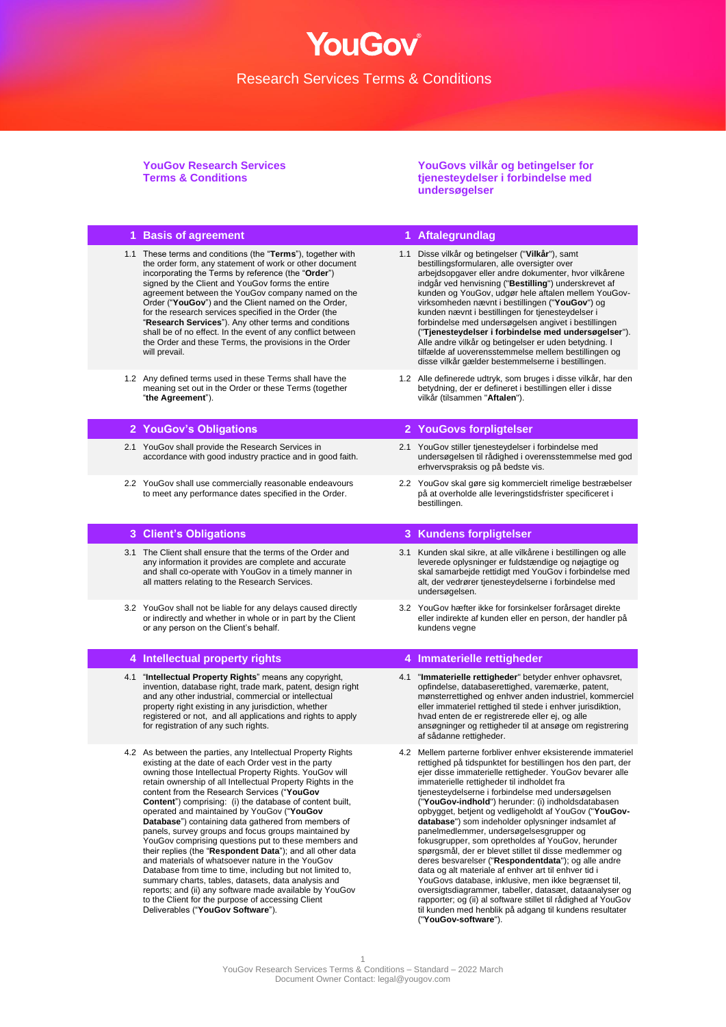# YouGov®

## Research Services Terms & Conditions

**YouGov Research Services Terms & Conditions**

**YouGovs vilkår og betingelser for tjenesteydelser i forbindelse med undersøgelser**

| 1 Basis of agreement                                                                                                                                                                                                                                                                                                                                                                                                                                                                                                                                                                                                                                                                                                                                                                                                                                                                                                                                                            | 1 Aftalegrundlag                                                                                                                                                                                                                                                                                                                                                                                                                                                                                                                                                                                                                                                                                                                                                                                                                                                                                                                                                                                                 |
|---------------------------------------------------------------------------------------------------------------------------------------------------------------------------------------------------------------------------------------------------------------------------------------------------------------------------------------------------------------------------------------------------------------------------------------------------------------------------------------------------------------------------------------------------------------------------------------------------------------------------------------------------------------------------------------------------------------------------------------------------------------------------------------------------------------------------------------------------------------------------------------------------------------------------------------------------------------------------------|------------------------------------------------------------------------------------------------------------------------------------------------------------------------------------------------------------------------------------------------------------------------------------------------------------------------------------------------------------------------------------------------------------------------------------------------------------------------------------------------------------------------------------------------------------------------------------------------------------------------------------------------------------------------------------------------------------------------------------------------------------------------------------------------------------------------------------------------------------------------------------------------------------------------------------------------------------------------------------------------------------------|
| 1.1 These terms and conditions (the "Terms"), together with<br>the order form, any statement of work or other document<br>incorporating the Terms by reference (the "Order")<br>signed by the Client and YouGov forms the entire<br>agreement between the YouGov company named on the<br>Order ("YouGov") and the Client named on the Order,<br>for the research services specified in the Order (the<br>"Research Services"). Any other terms and conditions<br>shall be of no effect. In the event of any conflict between<br>the Order and these Terms, the provisions in the Order<br>will prevail.                                                                                                                                                                                                                                                                                                                                                                         | 1.1 Disse vilkår og betingelser ("Vilkår"), samt<br>bestillingsformularen, alle oversigter over<br>arbejdsopgaver eller andre dokumenter, hvor vilkårene<br>indgår ved henvisning ("Bestilling") underskrevet af<br>kunden og YouGov, udgør hele aftalen mellem YouGov-<br>virksomheden nævnt i bestillingen ("YouGov") og<br>kunden nævnt i bestillingen for tjenesteydelser i<br>forbindelse med undersøgelsen angivet i bestillingen<br>("Tjenesteydelser i forbindelse med undersøgelser").<br>Alle andre vilkår og betingelser er uden betydning. I<br>tilfælde af uoverensstemmelse mellem bestillingen og<br>disse vilkår gælder bestemmelserne i bestillingen.                                                                                                                                                                                                                                                                                                                                           |
| 1.2 Any defined terms used in these Terms shall have the<br>meaning set out in the Order or these Terms (together<br>"the Agreement").                                                                                                                                                                                                                                                                                                                                                                                                                                                                                                                                                                                                                                                                                                                                                                                                                                          | 1.2 Alle definerede udtryk, som bruges i disse vilkår, har den<br>betydning, der er defineret i bestillingen eller i disse<br>vilkår (tilsammen "Aftalen").                                                                                                                                                                                                                                                                                                                                                                                                                                                                                                                                                                                                                                                                                                                                                                                                                                                      |
| 2 YouGov's Obligations                                                                                                                                                                                                                                                                                                                                                                                                                                                                                                                                                                                                                                                                                                                                                                                                                                                                                                                                                          | 2 YouGovs forpligtelser                                                                                                                                                                                                                                                                                                                                                                                                                                                                                                                                                                                                                                                                                                                                                                                                                                                                                                                                                                                          |
| 2.1 YouGov shall provide the Research Services in<br>accordance with good industry practice and in good faith.                                                                                                                                                                                                                                                                                                                                                                                                                                                                                                                                                                                                                                                                                                                                                                                                                                                                  | 2.1 YouGov stiller tjenesteydelser i forbindelse med<br>undersøgelsen til rådighed i overensstemmelse med god<br>erhvervspraksis og på bedste vis.                                                                                                                                                                                                                                                                                                                                                                                                                                                                                                                                                                                                                                                                                                                                                                                                                                                               |
| 2.2 YouGov shall use commercially reasonable endeavours<br>to meet any performance dates specified in the Order.                                                                                                                                                                                                                                                                                                                                                                                                                                                                                                                                                                                                                                                                                                                                                                                                                                                                | 2.2 YouGov skal gøre sig kommercielt rimelige bestræbelser<br>på at overholde alle leveringstidsfrister specificeret i<br>bestillingen.                                                                                                                                                                                                                                                                                                                                                                                                                                                                                                                                                                                                                                                                                                                                                                                                                                                                          |
| 3 Client's Obligations                                                                                                                                                                                                                                                                                                                                                                                                                                                                                                                                                                                                                                                                                                                                                                                                                                                                                                                                                          | 3 Kundens forpligtelser                                                                                                                                                                                                                                                                                                                                                                                                                                                                                                                                                                                                                                                                                                                                                                                                                                                                                                                                                                                          |
| 3.1 The Client shall ensure that the terms of the Order and<br>any information it provides are complete and accurate<br>and shall co-operate with YouGov in a timely manner in<br>all matters relating to the Research Services.                                                                                                                                                                                                                                                                                                                                                                                                                                                                                                                                                                                                                                                                                                                                                | 3.1 Kunden skal sikre, at alle vilkårene i bestillingen og alle<br>leverede oplysninger er fuldstændige og nøjagtige og<br>skal samarbejde rettidigt med YouGov i forbindelse med<br>alt, der vedrører tjenesteydelserne i forbindelse med<br>undersøgelsen.                                                                                                                                                                                                                                                                                                                                                                                                                                                                                                                                                                                                                                                                                                                                                     |
| 3.2 YouGov shall not be liable for any delays caused directly<br>or indirectly and whether in whole or in part by the Client<br>or any person on the Client's behalf.                                                                                                                                                                                                                                                                                                                                                                                                                                                                                                                                                                                                                                                                                                                                                                                                           | 3.2 YouGov hæfter ikke for forsinkelser forårsaget direkte<br>eller indirekte af kunden eller en person, der handler på<br>kundens vegne                                                                                                                                                                                                                                                                                                                                                                                                                                                                                                                                                                                                                                                                                                                                                                                                                                                                         |
| 4 Intellectual property rights                                                                                                                                                                                                                                                                                                                                                                                                                                                                                                                                                                                                                                                                                                                                                                                                                                                                                                                                                  | 4 Immaterielle rettigheder                                                                                                                                                                                                                                                                                                                                                                                                                                                                                                                                                                                                                                                                                                                                                                                                                                                                                                                                                                                       |
| 4.1 "Intellectual Property Rights" means any copyright,<br>invention, database right, trade mark, patent, design right<br>and any other industrial, commercial or intellectual<br>property right existing in any jurisdiction, whether<br>registered or not, and all applications and rights to apply<br>for registration of any such rights.                                                                                                                                                                                                                                                                                                                                                                                                                                                                                                                                                                                                                                   | 4.1 "Immaterielle rettigheder" betyder enhver ophavsret,<br>opfindelse, databaserettighed, varemærke, patent,<br>mønsterrettighed og enhver anden industriel, kommerciel<br>eller immateriel rettighed til stede i enhver jurisdiktion,<br>hvad enten de er registrerede eller ej, og alle<br>ansøgninger og rettigheder til at ansøge om registrering<br>af sådanne rettigheder.                                                                                                                                                                                                                                                                                                                                                                                                                                                                                                                                                                                                                                |
| 4.2 As between the parties, any Intellectual Property Rights<br>existing at the date of each Order vest in the party<br>owning those Intellectual Property Rights. YouGov will<br>retain ownership of all Intellectual Property Rights in the<br>content from the Research Services ("YouGov<br><b>Content</b> ") comprising: (i) the database of content built,<br>operated and maintained by YouGov ("YouGov<br>Database") containing data gathered from members of<br>panels, survey groups and focus groups maintained by<br>YouGov comprising questions put to these members and<br>their replies (the "Respondent Data"); and all other data<br>and materials of whatsoever nature in the YouGov<br>Database from time to time, including but not limited to,<br>summary charts, tables, datasets, data analysis and<br>reports; and (ii) any software made available by YouGov<br>to the Client for the purpose of accessing Client<br>Deliverables ("YouGov Software"). | 4.2 Mellem parterne forbliver enhver eksisterende immateriel<br>rettighed på tidspunktet for bestillingen hos den part, der<br>ejer disse immaterielle rettigheder. YouGov bevarer alle<br>immaterielle rettigheder til indholdet fra<br>tjenesteydelserne i forbindelse med undersøgelsen<br>("YouGov-indhold") herunder: (i) indholdsdatabasen<br>opbygget, betjent og vedligeholdt af YouGov ("YouGov-<br>database") som indeholder oplysninger indsamlet af<br>panelmedlemmer, undersøgelsesgrupper og<br>fokusgrupper, som opretholdes af YouGov, herunder<br>spørgsmål, der er blevet stillet til disse medlemmer og<br>deres besvarelser ("Respondentdata"); og alle andre<br>data og alt materiale af enhver art til enhver tid i<br>YouGovs database, inklusive, men ikke begrænset til,<br>oversigtsdiagrammer, tabeller, datasæt, dataanalyser og<br>rapporter; og (ii) al software stillet til rådighed af YouGov<br>til kunden med henblik på adgang til kundens resultater<br>("YouGov-software"). |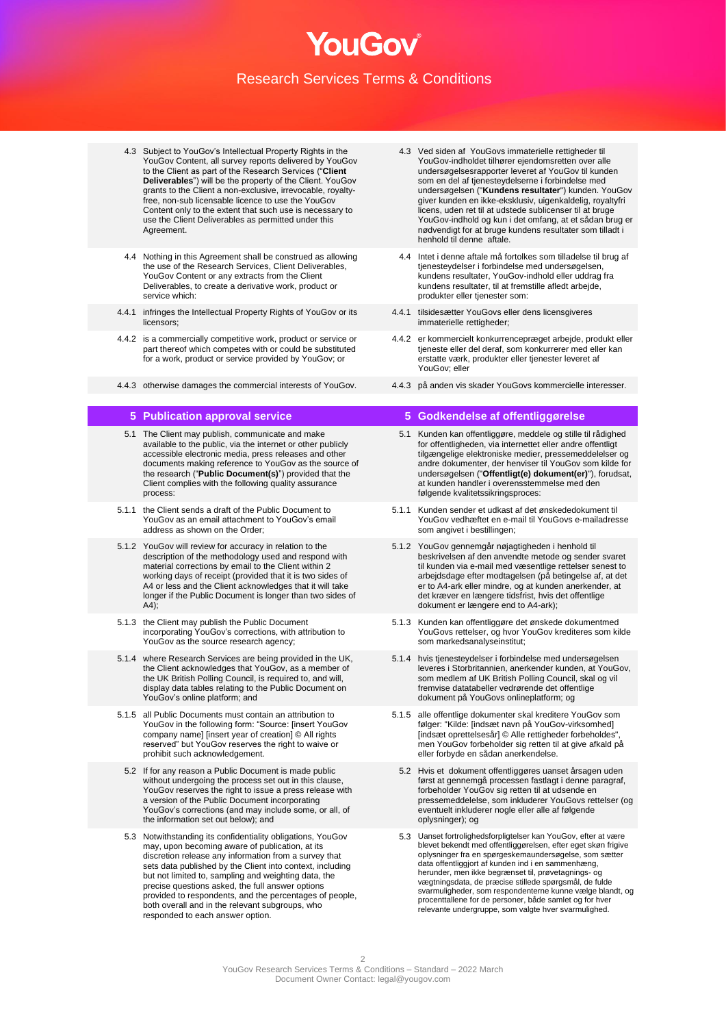- 4.3 Subject to YouGov's Intellectual Property Rights in the YouGov Content, all survey reports delivered by YouGov to the Client as part of the Research Services ("**Client Deliverables**") will be the property of the Client. YouGov grants to the Client a non-exclusive, irrevocable, royaltyfree, non-sub licensable licence to use the YouGov Content only to the extent that such use is necessary to use the Client Deliverables as permitted under this Agreement.
- 4.4 Nothing in this Agreement shall be construed as allowing the use of the Research Services, Client Deliverables, YouGov Content or any extracts from the Client Deliverables, to create a derivative work, product or service which:
- 4.4.1 infringes the Intellectual Property Rights of YouGov or its licensors;
- 4.4.2 is a commercially competitive work, product or service or part thereof which competes with or could be substituted for a work, product or service provided by YouGov; or
- 4.4.3 otherwise damages the commercial interests of YouGov. 4.4.3 på anden vis skader YouGovs kommercielle interesser.

- 5.1 The Client may publish, communicate and make available to the public, via the internet or other publicly accessible electronic media, press releases and other documents making reference to YouGov as the source of the research ("**Public Document(s)**") provided that the Client complies with the following quality assurance process:
- 5.1.1 the Client sends a draft of the Public Document to YouGov as an email attachment to YouGov's email address as shown on the Order;
- 5.1.2 YouGov will review for accuracy in relation to the description of the methodology used and respond with material corrections by email to the Client within 2 working days of receipt (provided that it is two sides of A4 or less and the Client acknowledges that it will take longer if the Public Document is longer than two sides of  $A4$ ):
- 5.1.3 the Client may publish the Public Document incorporating YouGov's corrections, with attribution to YouGov as the source research agency;
- 5.1.4 where Research Services are being provided in the UK, the Client acknowledges that YouGov, as a member of the UK British Polling Council, is required to, and will, display data tables relating to the Public Document on YouGov's online platform; and
- 5.1.5 all Public Documents must contain an attribution to YouGov in the following form: "Source: [insert YouGov company name] [insert year of creation] © All rights reserved" but YouGov reserves the right to waive or prohibit such acknowledgement.
	- 5.2 If for any reason a Public Document is made public without undergoing the process set out in this clause, YouGov reserves the right to issue a press release with a version of the Public Document incorporating YouGov's corrections (and may include some, or all, of the information set out below); and
	- 5.3 Notwithstanding its confidentiality obligations, YouGov may, upon becoming aware of publication, at its discretion release any information from a survey that sets data published by the Client into context, including but not limited to, sampling and weighting data, the precise questions asked, the full answer options provided to respondents, and the percentages of people, both overall and in the relevant subgroups, who responded to each answer option.
- 4.3 Ved siden af YouGovs immaterielle rettigheder til YouGov-indholdet tilhører ejendomsretten over alle undersøgelsesrapporter leveret af YouGov til kunden som en del af tjenesteydelserne i forbindelse med undersøgelsen ("**Kundens resultater**") kunden. YouGov giver kunden en ikke-eksklusiv, uigenkaldelig, royaltyfri licens, uden ret til at udstede sublicenser til at bruge YouGov-indhold og kun i det omfang, at et sådan brug er nødvendigt for at bruge kundens resultater som tilladt i henhold til denne aftale.
- 4.4 Intet i denne aftale må fortolkes som tilladelse til brug af tjenesteydelser i forbindelse med undersøgelsen, kundens resultater, YouGov-indhold eller uddrag fra kundens resultater, til at fremstille afledt arbejde, produkter eller tjenester som:
- 4.4.1 tilsidesætter YouGovs eller dens licensgiveres immaterielle rettigheder;
- 4.4.2 er kommercielt konkurrencepræget arbejde, produkt eller tjeneste eller del deraf, som konkurrerer med eller kan erstatte værk, produkter eller tjenester leveret af YouGov; eller
- 

## **5 Publication approval service 5 Godkendelse af offentliggørelse**

- 5.1 Kunden kan offentliggøre, meddele og stille til rådighed for offentligheden, via internettet eller andre offentligt tilgængelige elektroniske medier, pressemeddelelser og andre dokumenter, der henviser til YouGov som kilde for undersøgelsen ("**Offentligt(e) dokument(er)**"), forudsat, at kunden handler i overensstemmelse med den følgende kvalitetssikringsproces:
- 5.1.1 Kunden sender et udkast af det ønskededokument til YouGov vedhæftet en e-mail til YouGovs e-mailadresse som angivet i bestillingen;
- 5.1.2 YouGov gennemgår nøjagtigheden i henhold til beskrivelsen af den anvendte metode og sender svaret til kunden via e-mail med væsentlige rettelser senest to arbejdsdage efter modtagelsen (på betingelse af, at det er to A4-ark eller mindre, og at kunden anerkender, at det kræver en længere tidsfrist, hvis det offentlige dokument er længere end to A4-ark);
- 5.1.3 Kunden kan offentliggøre det ønskede dokumentmed YouGovs rettelser, og hvor YouGov krediteres som kilde som markedsanalyseinstitut;
- 5.1.4 hvis tjenesteydelser i forbindelse med undersøgelsen leveres i Storbritannien, anerkender kunden, at YouGov, som medlem af UK British Polling Council, skal og vil fremvise datatabeller vedrørende det offentlige dokument på YouGovs onlineplatform; og
- 5.1.5 alle offentlige dokumenter skal kreditere YouGov som følger: "Kilde: [indsæt navn på YouGov-virksomhed] [indsæt oprettelsesår] © Alle rettigheder forbeholdes", men YouGov forbeholder sig retten til at give afkald på eller forbyde en sådan anerkendelse.
	- 5.2 Hvis et dokument offentliggøres uanset årsagen uden først at gennemgå processen fastlagt i denne paragraf, forbeholder YouGov sig retten til at udsende en pressemeddelelse, som inkluderer YouGovs rettelser (og eventuelt inkluderer nogle eller alle af følgende oplysninger); og
	- 5.3 Uanset fortrolighedsforpligtelser kan YouGov, efter at være blevet bekendt med offentliggørelsen, efter eget skøn frigive oplysninger fra en spørgeskemaundersøgelse, som sætter data offentliggjort af kunden ind i en sammenhæng, herunder, men ikke begrænset til, prøvetagnings- og vægtningsdata, de præcise stillede spørgsmål, de fulde svarmuligheder, som respondenterne kunne vælge blandt, og procenttallene for de personer, både samlet og for hver relevante undergruppe, som valgte hver svarmulighed.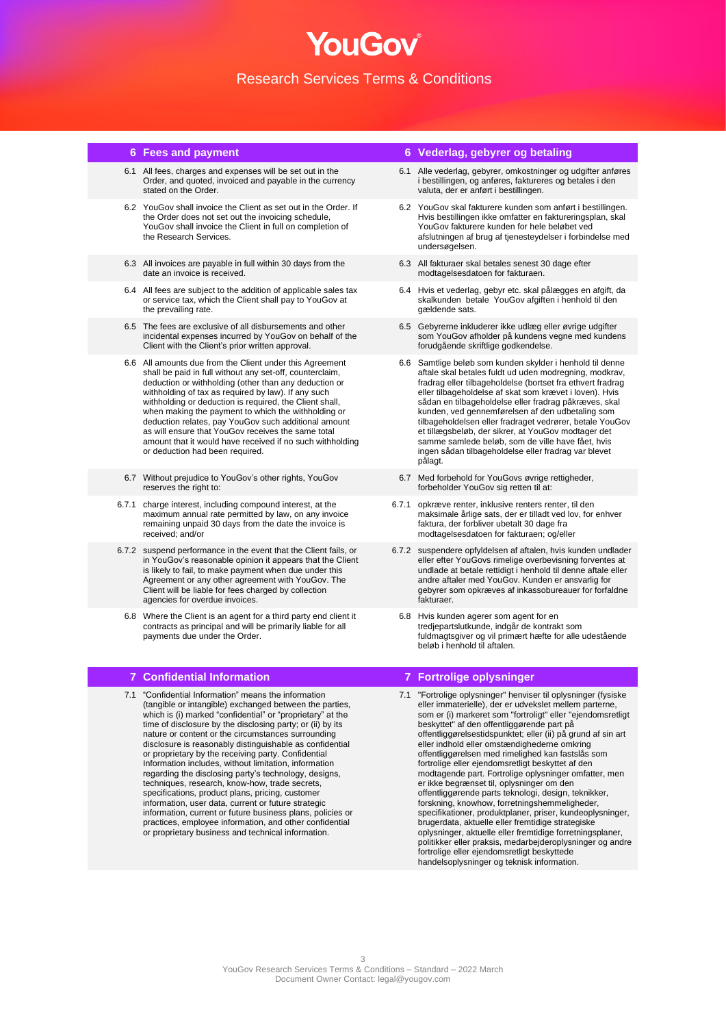## NOF JI IC Research Services Terms & Conditions

- 6.1 All fees, charges and expenses will be set out in the Order, and quoted, invoiced and payable in the currency stated on the Order.
- 6.2 YouGov shall invoice the Client as set out in the Order. If the Order does not set out the invoicing schedule, YouGov shall invoice the Client in full on completion of the Research Services.
- 6.3 All invoices are payable in full within 30 days from the date an invoice is received.
- 6.4 All fees are subject to the addition of applicable sales tax or service tax, which the Client shall pay to YouGov at the prevailing rate.
- 6.5 The fees are exclusive of all disbursements and other incidental expenses incurred by YouGov on behalf of the Client with the Client's prior written approval.
- 6.6 All amounts due from the Client under this Agreement shall be paid in full without any set-off, counterclaim, deduction or withholding (other than any deduction or withholding of tax as required by law). If any such withholding or deduction is required, the Client shall, when making the payment to which the withholding or deduction relates, pay YouGov such additional amount as will ensure that YouGov receives the same total amount that it would have received if no such withholding or deduction had been required.
- 6.7 Without prejudice to YouGov's other rights, YouGov reserves the right to:
- 6.7.1 charge interest, including compound interest, at the maximum annual rate permitted by law, on any invoice remaining unpaid 30 days from the date the invoice is received; and/or
- 6.7.2 suspend performance in the event that the Client fails, or in YouGov's reasonable opinion it appears that the Client is likely to fail, to make payment when due under this Agreement or any other agreement with YouGov. The Client will be liable for fees charged by collection agencies for overdue invoices.
	- 6.8 Where the Client is an agent for a third party end client it contracts as principal and will be primarily liable for all payments due under the Order.

### **7 Confidential Information 7 Fortrolige oplysninger**

7.1 "Confidential Information" means the information (tangible or intangible) exchanged between the parties, which is (i) marked "confidential" or "proprietary" at the time of disclosure by the disclosing party; or (ii) by its nature or content or the circumstances surrounding disclosure is reasonably distinguishable as confidential or proprietary by the receiving party. Confidential Information includes, without limitation, information regarding the disclosing party's technology, designs, techniques, research, know-how, trade secrets, specifications, product plans, pricing, customer information, user data, current or future strategic information, current or future business plans, policies or practices, employee information, and other confidential or proprietary business and technical information.

## **6 Fees and payment 6 Vederlag, gebyrer og betaling**

- 6.1 Alle vederlag, gebyrer, omkostninger og udgifter anføres i bestillingen, og anføres, faktureres og betales i den valuta, der er anført i bestillingen.
- 6.2 YouGov skal fakturere kunden som anført i bestillingen. Hvis bestillingen ikke omfatter en faktureringsplan, skal YouGov fakturere kunden for hele beløbet ved afslutningen af brug af tjenesteydelser i forbindelse med undersøgelsen.
- 6.3 All fakturaer skal betales senest 30 dage efter modtagelsesdatoen for fakturaen.
- 6.4 Hvis et vederlag, gebyr etc. skal pålægges en afgift, da skalkunden betale YouGov afgiften i henhold til den gældende sats.
- 6.5 Gebyrerne inkluderer ikke udlæg eller øvrige udgifter som YouGov afholder på kundens vegne med kundens forudgående skriftlige godkendelse.
- 6.6 Samtlige beløb som kunden skylder i henhold til denne aftale skal betales fuldt ud uden modregning, modkrav, fradrag eller tilbageholdelse (bortset fra ethvert fradrag eller tilbageholdelse af skat som krævet i loven). Hvis sådan en tilbageholdelse eller fradrag påkræves, skal kunden, ved gennemførelsen af den udbetaling som tilbageholdelsen eller fradraget vedrører, betale YouGov et tillægsbeløb, der sikrer, at YouGov modtager det samme samlede beløb, som de ville have fået, hvis ingen sådan tilbageholdelse eller fradrag var blevet pålagt.
- 6.7 Med forbehold for YouGovs øvrige rettigheder, forbeholder YouGov sig retten til at:
- 6.7.1 opkræve renter, inklusive renters renter, til den maksimale årlige sats, der er tilladt ved lov, for enhver faktura, der forbliver ubetalt 30 dage fra modtagelsesdatoen for fakturaen; og/eller
- 6.7.2 suspendere opfyldelsen af aftalen, hvis kunden undlader eller efter YouGovs rimelige overbevisning forventes at undlade at betale rettidigt i henhold til denne aftale eller andre aftaler med YouGov. Kunden er ansvarlig for gebyrer som opkræves af inkassobureauer for forfaldne fakturaer.
- 6.8 Hvis kunden agerer som agent for en tredjepartslutkunde, indgår de kontrakt som fuldmagtsgiver og vil primært hæfte for alle udestående beløb i henhold til aftalen.

7.1 "Fortrolige oplysninger" henviser til oplysninger (fysiske eller immaterielle), der er udvekslet mellem parterne, som er (i) markeret som "fortroligt" eller "ejendomsretligt beskyttet" af den offentliggørende part på offentliggørelsestidspunktet; eller (ii) på grund af sin art eller indhold eller omstændighederne omkring offentliggørelsen med rimelighed kan fastslås som fortrolige eller ejendomsretligt beskyttet af den modtagende part. Fortrolige oplysninger omfatter, men er ikke begrænset til, oplysninger om den offentliggørende parts teknologi, design, teknikker, forskning, knowhow, forretningshemmeligheder, specifikationer, produktplaner, priser, kundeoplysninger, brugerdata, aktuelle eller fremtidige strategiske oplysninger, aktuelle eller fremtidige forretningsplaner, politikker eller praksis, medarbejderoplysninger og andre fortrolige eller ejendomsretligt beskyttede handelsoplysninger og teknisk information.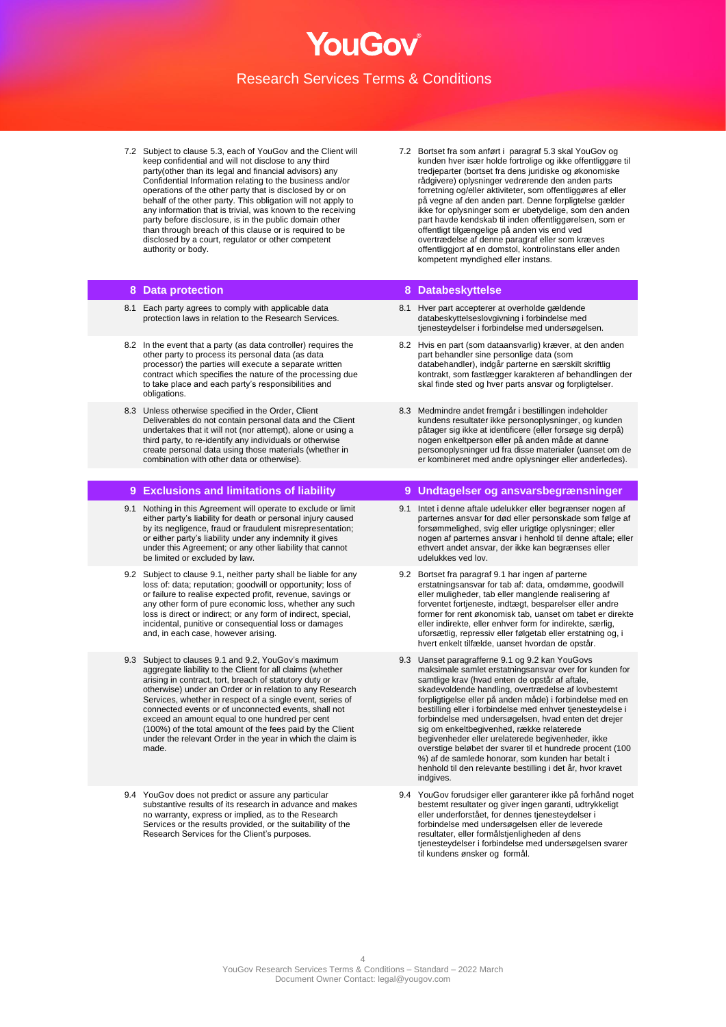- 7.2 Subject to clause 5.3, each of YouGov and the Client will keep confidential and will not disclose to any third party(other than its legal and financial advisors) any Confidential Information relating to the business and/or operations of the other party that is disclosed by or on behalf of the other party. This obligation will not apply to any information that is trivial, was known to the receiving party before disclosure, is in the public domain other than through breach of this clause or is required to be disclosed by a court, regulator or other competent authority or body.
- 7.2 Bortset fra som anført i paragraf 5.3 skal YouGov og kunden hver især holde fortrolige og ikke offentliggøre til tredjeparter (bortset fra dens juridiske og økonomiske rådgivere) oplysninger vedrørende den anden parts forretning og/eller aktiviteter, som offentliggøres af eller på vegne af den anden part. Denne forpligtelse gælder ikke for oplysninger som er ubetydelige, som den anden part havde kendskab til inden offentliggørelsen, som er offentligt tilgængelige på anden vis end ved overtrædelse af denne paragraf eller som kræves offentliggjort af en domstol, kontrolinstans eller anden kompetent myndighed eller instans.

### **8 Data protection 8 Databeskyttelse**

- 8.1 Each party agrees to comply with applicable data protection laws in relation to the Research Services.
- 8.2 In the event that a party (as data controller) requires the other party to process its personal data (as data processor) the parties will execute a separate written contract which specifies the nature of the processing due to take place and each party's responsibilities and obligations.
- 8.3 Unless otherwise specified in the Order, Client Deliverables do not contain personal data and the Client undertakes that it will not (nor attempt), alone or using a third party, to re-identify any individuals or otherwise create personal data using those materials (whether in combination with other data or otherwise).

- 9.1 Nothing in this Agreement will operate to exclude or limit either party's liability for death or personal injury caused by its negligence, fraud or fraudulent misrepresentation; or either party's liability under any indemnity it gives under this Agreement; or any other liability that cannot be limited or excluded by law.
- 9.2 Subject to clause 9.1, neither party shall be liable for any loss of: data; reputation; goodwill or opportunity; loss of or failure to realise expected profit, revenue, savings or any other form of pure economic loss, whether any such loss is direct or indirect; or any form of indirect, special, incidental, punitive or consequential loss or damages and, in each case, however arising.
- 9.3 Subject to clauses 9.1 and 9.2, YouGov's maximum aggregate liability to the Client for all claims (whether arising in contract, tort, breach of statutory duty or otherwise) under an Order or in relation to any Research Services, whether in respect of a single event, series of connected events or of unconnected events, shall not exceed an amount equal to one hundred per cent (100%) of the total amount of the fees paid by the Client under the relevant Order in the year in which the claim is made.
- 9.4 YouGov does not predict or assure any particular substantive results of its research in advance and makes no warranty, express or implied, as to the Research Services or the results provided, or the suitability of the Research Services for the Client's purposes.

- 8.1 Hver part accepterer at overholde gældende databeskyttelseslovgivning i forbindelse med tjenesteydelser i forbindelse med undersøgelsen.
- 8.2 Hvis en part (som dataansvarlig) kræver, at den anden part behandler sine personlige data (som databehandler), indgår parterne en særskilt skriftlig kontrakt, som fastlægger karakteren af behandlingen der skal finde sted og hver parts ansvar og forpligtelser.
- 8.3 Medmindre andet fremgår i bestillingen indeholder kundens resultater ikke personoplysninger, og kunden påtager sig ikke at identificere (eller forsøge sig derpå) nogen enkeltperson eller på anden måde at danne personoplysninger ud fra disse materialer (uanset om de er kombineret med andre oplysninger eller anderledes).

### **9 Exclusions and limitations of liability 9 Undtagelser og ansvarsbegrænsninger**

- 9.1 Intet i denne aftale udelukker eller begrænser nogen af parternes ansvar for død eller personskade som følge af forsømmelighed, svig eller urigtige oplysninger; eller nogen af parternes ansvar i henhold til denne aftale; eller ethvert andet ansvar, der ikke kan begrænses eller udelukkes ved lov.
- 9.2 Bortset fra paragraf 9.1 har ingen af parterne erstatningsansvar for tab af: data, omdømme, goodwill eller muligheder, tab eller manglende realisering af forventet fortjeneste, indtægt, besparelser eller andre former for rent økonomisk tab, uanset om tabet er direkte eller indirekte, eller enhver form for indirekte, særlig, uforsætlig, repressiv eller følgetab eller erstatning og, hvert enkelt tilfælde, uanset hvordan de opstår.
- 9.3 Uanset paragrafferne 9.1 og 9.2 kan YouGovs maksimale samlet erstatningsansvar over for kunden for samtlige krav (hvad enten de opstår af aftale, skadevoldende handling, overtrædelse af lovbestemt forpligtigelse eller på anden måde) i forbindelse med en bestilling eller i forbindelse med enhver tjenesteydelse i forbindelse med undersøgelsen, hvad enten det drejer sig om enkeltbegivenhed, række relaterede begivenheder eller urelaterede begivenheder, ikke overstige beløbet der svarer til et hundrede procent (100 %) af de samlede honorar, som kunden har betalt i henhold til den relevante bestilling i det år, hvor kravet indgives.
- 9.4 YouGov forudsiger eller garanterer ikke på forhånd noget bestemt resultater og giver ingen garanti, udtrykkeligt eller underforstået, for dennes tjenesteydelser i forbindelse med undersøgelsen eller de leverede resultater, eller formålstjenligheden af dens tjenesteydelser i forbindelse med undersøgelsen svarer til kundens ønsker og formål.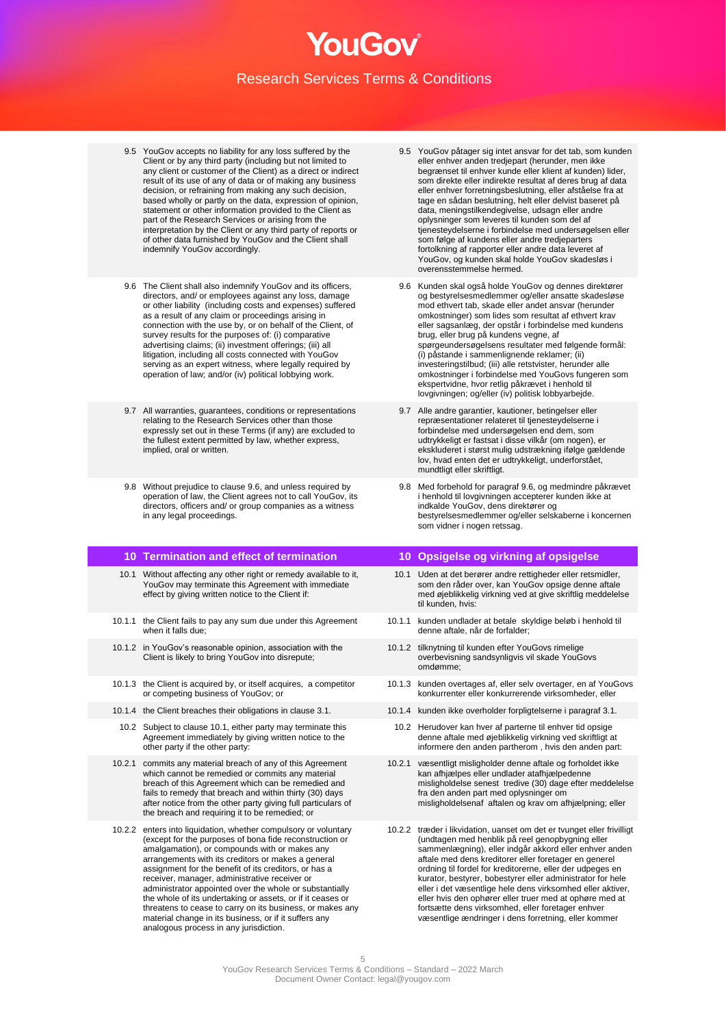- 9.5 YouGov accepts no liability for any loss suffered by the Client or by any third party (including but not limited to any client or customer of the Client) as a direct or indirect result of its use of any of data or of making any business decision, or refraining from making any such decision, based wholly or partly on the data, expression of opinion, statement or other information provided to the Client as part of the Research Services or arising from the interpretation by the Client or any third party of reports or of other data furnished by YouGov and the Client shall indemnify YouGov accordingly.
- 9.6 The Client shall also indemnify YouGov and its officers, directors, and/ or employees against any loss, damage or other liability (including costs and expenses) suffered as a result of any claim or proceedings arising in connection with the use by, or on behalf of the Client, of survey results for the purposes of: (i) comparative advertising claims; (ii) investment offerings; (iii) all litigation, including all costs connected with YouGov serving as an expert witness, where legally required by operation of law; and/or (iv) political lobbying work.
- 9.7 All warranties, guarantees, conditions or representations relating to the Research Services other than those expressly set out in these Terms (if any) are excluded to the fullest extent permitted by law, whether express, implied, oral or written.
- 9.8 Without prejudice to clause 9.6, and unless required by operation of law, the Client agrees not to call YouGov, its directors, officers and/ or group companies as a witness in any legal proceedings.

### **10 Termination and effect of termination 10 Opsigelse og virkning af opsigelse**

- 10.1 Without affecting any other right or remedy available to it, YouGov may terminate this Agreement with immediate effect by giving written notice to the Client if:
- 10.1.1 the Client fails to pay any sum due under this Agreement when it falls due;
- 10.1.2 in YouGov's reasonable opinion, association with the Client is likely to bring YouGov into disrepute;
- 10.1.3 the Client is acquired by, or itself acquires, a competitor or competing business of YouGov; or
- 
- 10.2 Subject to clause 10.1, either party may terminate this Agreement immediately by giving written notice to the other party if the other party:
- 10.2.1 commits any material breach of any of this Agreement which cannot be remedied or commits any material breach of this Agreement which can be remedied and fails to remedy that breach and within thirty (30) days after notice from the other party giving full particulars of the breach and requiring it to be remedied; or
- 10.2.2 enters into liquidation, whether compulsory or voluntary (except for the purposes of bona fide reconstruction or amalgamation), or compounds with or makes any arrangements with its creditors or makes a general assignment for the benefit of its creditors, or has a receiver, manager, administrative receiver or administrator appointed over the whole or substantially the whole of its undertaking or assets, or if it ceases or threatens to cease to carry on its business, or makes any material change in its business, or if it suffers any analogous process in any jurisdiction.
- 9.5 YouGov påtager sig intet ansvar for det tab, som kunden eller enhver anden tredjepart (herunder, men ikke begrænset til enhver kunde eller klient af kunden) lider, som direkte eller indirekte resultat af deres brug af data eller enhver forretningsbeslutning, eller afståelse fra at tage en sådan beslutning, helt eller delvist baseret på data, meningstilkendegivelse, udsagn eller andre oplysninger som leveres til kunden som del af tjenesteydelserne i forbindelse med undersøgelsen eller som følge af kundens eller andre tredjeparters fortolkning af rapporter eller andre data leveret af YouGov, og kunden skal holde YouGov skadesløs i overensstemmelse hermed.
- 9.6 Kunden skal også holde YouGov og dennes direktører og bestyrelsesmedlemmer og/eller ansatte skadesløse mod ethvert tab, skade eller andet ansvar (herunder omkostninger) som lides som resultat af ethvert krav eller sagsanlæg, der opstår i forbindelse med kundens brug, eller brug på kundens vegne, af spørgeundersøgelsens resultater med følgende formål: (i) påstande i sammenlignende reklamer; (ii) investeringstilbud; (iii) alle retstvister, herunder alle omkostninger i forbindelse med YouGovs fungeren som ekspertvidne, hvor retlig påkrævet i henhold til lovgivningen; og/eller (iv) politisk lobbyarbejde.
- 9.7 Alle andre garantier, kautioner, betingelser eller repræsentationer relateret til tjenesteydelserne i forbindelse med undersøgelsen end dem, som udtrykkeligt er fastsat i disse vilkår (om nogen), er ekskluderet i størst mulig udstrækning ifølge gældende lov, hvad enten det er udtrykkeligt, underforstået, mundtligt eller skriftligt.
- 9.8 Med forbehold for paragraf 9.6, og medmindre påkrævet i henhold til lovgivningen accepterer kunden ikke at indkalde YouGov, dens direktører og bestyrelsesmedlemmer og/eller selskaberne i koncernen som vidner i nogen retssag.

- 10.1 Uden at det berører andre rettigheder eller retsmidler, som den råder over, kan YouGov opsige denne aftale med øjeblikkelig virkning ved at give skriftlig meddelelse til kunden, hvis:
- 10.1.1 kunden undlader at betale skyldige beløb i henhold til denne aftale, når de forfalder;
- 10.1.2 tilknytning til kunden efter YouGovs rimelige overbevisning sandsynligvis vil skade YouGovs omdømme;
- 10.1.3 kunden overtages af, eller selv overtager, en af YouGovs konkurrenter eller konkurrerende virksomheder, eller
- 10.1.4 the Client breaches their obligations in clause 3.1. 10.1.4 kunden ikke overholder forpligtelserne i paragraf 3.1.
	- 10.2 Herudover kan hver af parterne til enhver tid opsige denne aftale med øjeblikkelig virkning ved skriftligt at informere den anden partherom , hvis den anden part:
	- 10.2.1 væsentligt misligholder denne aftale og forholdet ikke kan afhjælpes eller undlader atafhjælpedenne misligholdelse senest tredive (30) dage efter meddelelse fra den anden part med oplysninger om misligholdelsenaf aftalen og krav om afhjælpning; eller
	- 10.2.2 træder i likvidation, uanset om det er tvunget eller frivilligt (undtagen med henblik på reel genopbygning eller sammenlægning), eller indgår akkord eller enhver anden aftale med dens kreditorer eller foretager en generel ordning til fordel for kreditorerne, eller der udpeges en kurator, bestyrer, bobestyrer eller administrator for hele eller i det væsentlige hele dens virksomhed eller aktiver, eller hvis den ophører eller truer med at ophøre med at fortsætte dens virksomhed, eller foretager enhver væsentlige ændringer i dens forretning, eller kommer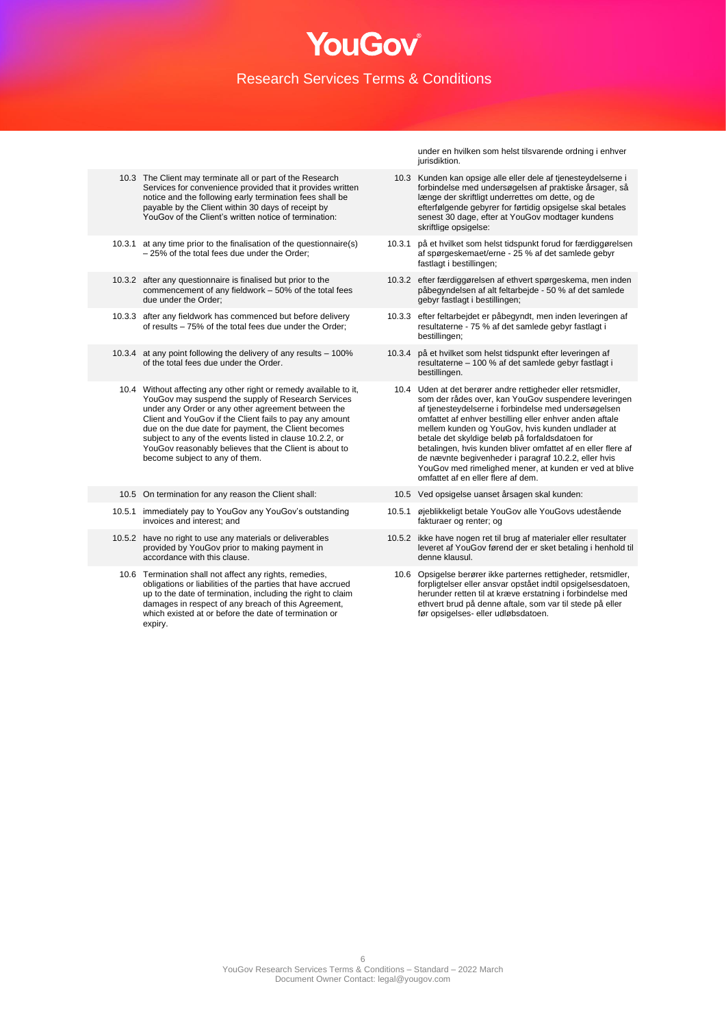- 10.3 The Client may terminate all or part of the Research Services for convenience provided that it provides written notice and the following early termination fees shall be payable by the Client within 30 days of receipt by YouGov of the Client's written notice of termination:
- 10.3.1 at any time prior to the finalisation of the questionnaire(s) – 25% of the total fees due under the Order;
- 10.3.2 after any questionnaire is finalised but prior to the commencement of any fieldwork – 50% of the total fees due under the Order;
- 10.3.3 after any fieldwork has commenced but before delivery of results – 75% of the total fees due under the Order;
- 10.3.4 at any point following the delivery of any results 100% of the total fees due under the Order.
- 10.4 Without affecting any other right or remedy available to it, YouGov may suspend the supply of Research Services under any Order or any other agreement between the Client and YouGov if the Client fails to pay any amount due on the due date for payment, the Client becomes subject to any of the events listed in clause 10.2.2, or YouGov reasonably believes that the Client is about to become subject to any of them.
- 10.5 On termination for any reason the Client shall: 10.5 Ved opsigelse uanset årsagen skal kunden:
- 10.5.1 immediately pay to YouGov any YouGov's outstanding invoices and interest; and
- 10.5.2 have no right to use any materials or deliverables provided by YouGov prior to making payment in accordance with this clause.
- 10.6 Termination shall not affect any rights, remedies, obligations or liabilities of the parties that have accrued up to the date of termination, including the right to claim damages in respect of any breach of this Agreement, which existed at or before the date of termination or expiry.

under en hvilken som helst tilsvarende ordning i enhver jurisdiktion.

- 10.3 Kunden kan opsige alle eller dele af tjenesteydelserne i forbindelse med undersøgelsen af praktiske årsager, så længe der skriftligt underrettes om dette, og de efterfølgende gebyrer for førtidig opsigelse skal betales senest 30 dage, efter at YouGov modtager kundens skriftlige opsigelse:
- 10.3.1 på et hvilket som helst tidspunkt forud for færdiggørelsen af spørgeskemaet/erne - 25 % af det samlede gebyr fastlagt i bestillingen:
- 10.3.2 efter færdiggørelsen af ethvert spørgeskema, men inden påbegyndelsen af alt feltarbejde - 50 % af det samlede gebyr fastlagt i bestillingen;
- 10.3.3 efter feltarbejdet er påbegyndt, men inden leveringen af resultaterne - 75 % af det samlede gebyr fastlagt i bestillingen;
- 10.3.4 på et hvilket som helst tidspunkt efter leveringen af resultaterne – 100 % af det samlede gebyr fastlagt i bestillingen.
	- 10.4 Uden at det berører andre rettigheder eller retsmidler, som der rådes over, kan YouGov suspendere leveringen af tjenesteydelserne i forbindelse med undersøgelsen omfattet af enhver bestilling eller enhver anden aftale mellem kunden og YouGov, hvis kunden undlader at betale det skyldige beløb på forfaldsdatoen for betalingen, hvis kunden bliver omfattet af en eller flere af de nævnte begivenheder i paragraf 10.2.2, eller hvis YouGov med rimelighed mener, at kunden er ved at blive omfattet af en eller flere af dem.
- 
- 10.5.1 øjeblikkeligt betale YouGov alle YouGovs udestående fakturaer og renter; og
- 10.5.2 ikke have nogen ret til brug af materialer eller resultater leveret af YouGov førend der er sket betaling i henhold til denne klausul.
	- 10.6 Opsigelse berører ikke parternes rettigheder, retsmidler, forpligtelser eller ansvar opstået indtil opsigelsesdatoen, herunder retten til at kræve erstatning i forbindelse med ethvert brud på denne aftale, som var til stede på eller før opsigelses- eller udløbsdatoen.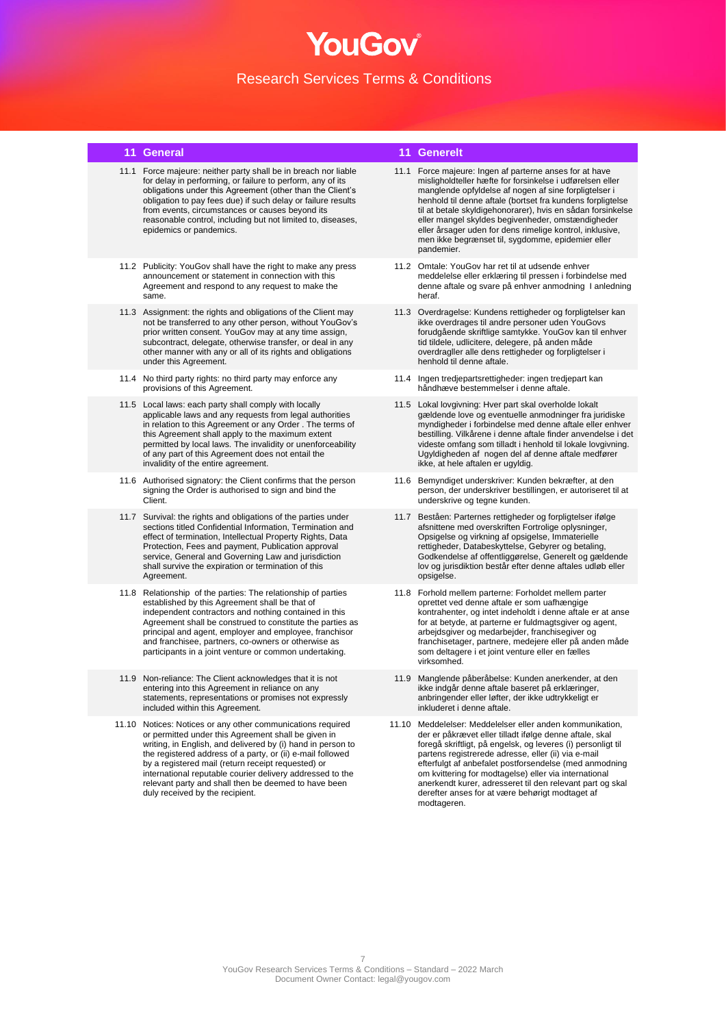- 11.1 Force majeure: neither party shall be in breach nor liable for delay in performing, or failure to perform, any of its obligations under this Agreement (other than the Client's obligation to pay fees due) if such delay or failure results from events, circumstances or causes beyond its reasonable control, including but not limited to, diseases, epidemics or pandemics.
- 11.2 Publicity: YouGov shall have the right to make any press announcement or statement in connection with this Agreement and respond to any request to make the same.
- 11.3 Assignment: the rights and obligations of the Client may not be transferred to any other person, without YouGov's prior written consent. YouGov may at any time assign, subcontract, delegate, otherwise transfer, or deal in any other manner with any or all of its rights and obligations under this Agreement.
- 11.4 No third party rights: no third party may enforce any provisions of this Agreement.
- 11.5 Local laws: each party shall comply with locally applicable laws and any requests from legal authorities in relation to this Agreement or any Order . The terms of this Agreement shall apply to the maximum extent permitted by local laws. The invalidity or unenforceability of any part of this Agreement does not entail the invalidity of the entire agreement.
- 11.6 Authorised signatory: the Client confirms that the person signing the Order is authorised to sign and bind the Client.
- 11.7 Survival: the rights and obligations of the parties under sections titled Confidential Information, Termination and effect of termination, Intellectual Property Rights, Data Protection, Fees and payment, Publication approval service, General and Governing Law and jurisdiction shall survive the expiration or termination of this Agreement.
- 11.8 Relationship of the parties: The relationship of parties established by this Agreement shall be that of independent contractors and nothing contained in this Agreement shall be construed to constitute the parties as principal and agent, employer and employee, franchisor and franchisee, partners, co-owners or otherwise as participants in a joint venture or common undertaking.
- 11.9 Non-reliance: The Client acknowledges that it is not entering into this Agreement in reliance on any statements, representations or promises not expressly included within this Agreement.
- 11.10 Notices: Notices or any other communications required or permitted under this Agreement shall be given in writing, in English, and delivered by (i) hand in person to the registered address of a party, or (ii) e-mail followed by a registered mail (return receipt requested) or international reputable courier delivery addressed to the relevant party and shall then be deemed to have been duly received by the recipient.

### **11 General 11 Generelt**

- 11.1 Force majeure: Ingen af parterne anses for at have misligholdteller hæfte for forsinkelse i udførelsen eller manglende opfyldelse af nogen af sine forpligtelser i henhold til denne aftale (bortset fra kundens forpligtelse til at betale skyldigehonorarer), hvis en sådan forsinkelse eller mangel skyldes begivenheder, omstændigheder eller årsager uden for dens rimelige kontrol, inklusive, men ikke begrænset til, sygdomme, epidemier eller pandemier.
- 11.2 Omtale: YouGov har ret til at udsende enhver meddelelse eller erklæring til pressen i forbindelse med denne aftale og svare på enhver anmodning I anledning heraf.
- 11.3 Overdragelse: Kundens rettigheder og forpligtelser kan ikke overdrages til andre personer uden YouGovs forudgående skriftlige samtykke. YouGov kan til enhver tid tildele, udlicitere, delegere, på anden måde overdragller alle dens rettigheder og forpligtelser i henhold til denne aftale.
- 11.4 Ingen tredjepartsrettigheder: ingen tredjepart kan håndhæve bestemmelser i denne aftale.
- 11.5 Lokal lovgivning: Hver part skal overholde lokalt gældende love og eventuelle anmodninger fra juridiske myndigheder i forbindelse med denne aftale eller enhver bestilling. Vilkårene i denne aftale finder anvendelse i det videste omfang som tilladt i henhold til lokale lovgivning. Ugyldigheden af nogen del af denne aftale medfører ikke, at hele aftalen er ugyldig.
- 11.6 Bemyndiget underskriver: Kunden bekræfter, at den person, der underskriver bestillingen, er autoriseret til at underskrive og tegne kunden.
- 11.7 Beståen: Parternes rettigheder og forpligtelser ifølge afsnittene med overskriften Fortrolige oplysninger, Opsigelse og virkning af opsigelse, Immaterielle rettigheder, Databeskyttelse, Gebyrer og betaling, Godkendelse af offentliggørelse, Generelt og gældende lov og jurisdiktion består efter denne aftales udløb eller opsigelse.
- 11.8 Forhold mellem parterne: Forholdet mellem parter oprettet ved denne aftale er som uafhængige kontrahenter, og intet indeholdt i denne aftale er at anse for at betyde, at parterne er fuldmagtsgiver og agent, arbejdsgiver og medarbejder, franchisegiver og franchisetager, partnere, medejere eller på anden måde som deltagere i et joint venture eller en fælles virksomhed.
- 11.9 Manglende påberåbelse: Kunden anerkender, at den ikke indgår denne aftale baseret på erklæringer, anbringender eller løfter, der ikke udtrykkeligt er inkluderet i denne aftale.
- 11.10 Meddelelser: Meddelelser eller anden kommunikation, der er påkrævet eller tilladt ifølge denne aftale, skal foregå skriftligt, på engelsk, og leveres (i) personligt til partens registrerede adresse, eller (ii) via e-mail efterfulgt af anbefalet postforsendelse (med anmodning om kvittering for modtagelse) eller via international anerkendt kurer, adresseret til den relevant part og skal derefter anses for at være behørigt modtaget af modtageren.